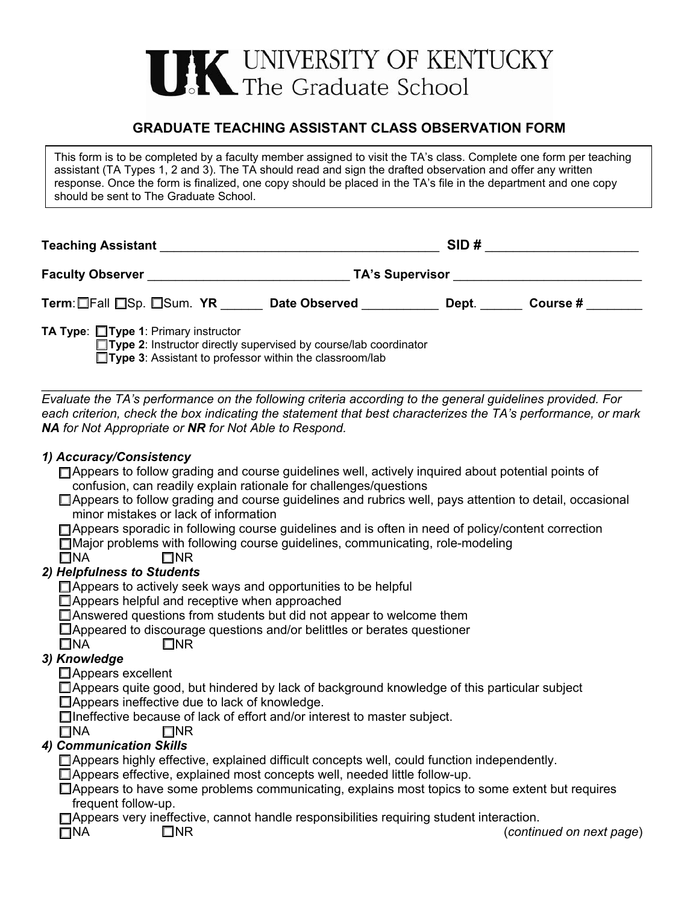

# **GRADUATE TEACHING ASSISTANT CLASS OBSERVATION FORM**

This form is to be completed by a faculty member assigned to visit the TA's class. Complete one form per teaching assistant (TA Types 1, 2 and 3). The TA should read and sign the drafted observation and offer any written response. Once the form is finalized, one copy should be placed in the TA's file in the department and one copy should be sent to The Graduate School.

| <b>Teaching Assistant</b>                                                                                        | SID#                   |  |
|------------------------------------------------------------------------------------------------------------------|------------------------|--|
| <b>Faculty Observer</b>                                                                                          | <b>TA's Supervisor</b> |  |
| Term: Fall ESp. ESum. YR<br><b>Date Observed</b>                                                                 | Course #<br>Dept.      |  |
| TA Type: □ Type 1: Primary instructor<br>$\Box$ Type 2: Instructor directly supervised by course/lab coordinator |                        |  |

**Type 3**: Assistant to professor within the classroom/lab

\_\_\_\_\_\_\_\_\_\_\_\_\_\_\_\_\_\_\_\_\_\_\_\_\_\_\_\_\_\_\_\_\_\_\_\_\_\_\_\_\_\_\_\_\_\_\_\_\_\_\_\_\_\_\_\_\_\_\_\_\_\_\_\_\_\_\_\_\_\_\_\_\_\_\_\_\_\_\_\_\_\_\_\_\_\_ *Evaluate the TA's performance on the following criteria according to the general guidelines provided. For each criterion, check the box indicating the statement that best characterizes the TA's performance, or mark NA for Not Appropriate or NR for Not Able to Respond.* 

### *1) Accuracy/Consistency*

| □ Appears to follow grading and course guidelines well, actively inquired about potential points of      |
|----------------------------------------------------------------------------------------------------------|
| confusion, can readily explain rationale for challenges/questions                                        |
| □ Appears to follow grading and course guidelines and rubrics well, pays attention to detail, occasional |

minor mistakes or lack of information

□ Appears sporadic in following course guidelines and is often in need of policy/content correction

Major problems with following course guidelines, communicating, role-modeling

 $\Box$ NA  $\Box$ NR

## *2) Helpfulness to Students*

□ Appears to actively seek ways and opportunities to be helpful

□Appears helpful and receptive when approached

Answered questions from students but did not appear to welcome them

Appeared to discourage questions and/or belittles or berates questioner

 $\Box$ NA  $\Box$ NR

## *3) Knowledge*

□ Appears excellent

Appears quite good, but hindered by lack of background knowledge of this particular subject

Appears ineffective due to lack of knowledge.

Ineffective because of lack of effort and/or interest to master subject.

 $\Box$ NA  $\Box$ NR

## *4) Communication Skills*

Appears highly effective, explained difficult concepts well, could function independently.

□ Appears effective, explained most concepts well, needed little follow-up.

 $\Box$  Appears to have some problems communicating, explains most topics to some extent but requires frequent follow-up.

Appears very ineffective, cannot handle responsibilities requiring student interaction.

NA NR (*continued on next page*)